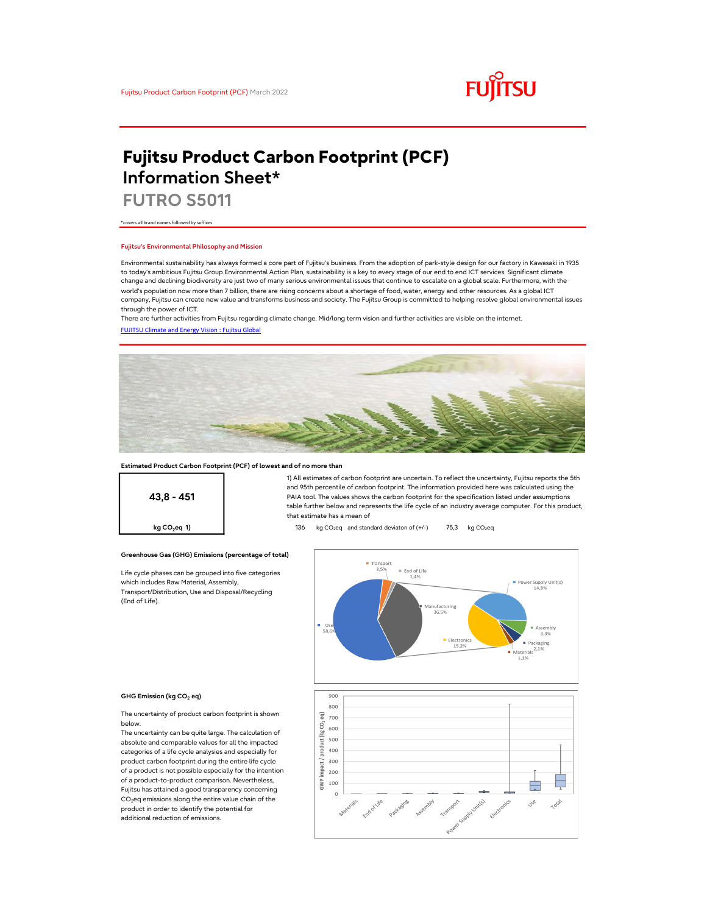

# Fujitsu Product Carbon Footprint (PCF) Information Sheet\*

FUTRO S5011

\*covers all brand names followed by suffixes

### Fujitsu's Environmental Philosophy and Mission

Environmental sustainability has always formed a core part of Fujitsu's business. From the adoption of park-style design for our factory in Kawasaki in 1935 to today's ambitious Fujitsu Group Environmental Action Plan, sustainability is a key to every stage of our end to end ICT services. Significant climate change and declining biodiversity are just two of many serious environmental issues that continue to escalate on a global scale. Furthermore, with the world's population now more than 7 billion, there are rising concerns about a shortage of food, water, energy and other resources. As a global ICT company, Fujitsu can create new value and transforms business and society. The Fujitsu Group is committed to helping resolve global environmental issues through the power of ICT.

FUJITSU Climate and Energy Vision : Fujitsu Global There are further activities from Fujitsu regarding climate change. Mid/long term vision and further activities are visible on the internet.



### Estimated Product Carbon Footprint (PCF) of lowest and of no more than

43,8 - 451

1) All estimates of carbon footprint are uncertain. To reflect the uncertainty, Fujitsu reports the 5th and 95th percentile of carbon footprint. The information provided here was calculated using the PAIA tool. The values shows the carbon footprint for the specification listed under assumptions table further below and represents the life cycle of an industry average computer. For this product, that estimate has a mean of

**kg CO<sub>2</sub>eq 1)** 136 kg CO<sub>2</sub>eq and standard deviaton of  $(+/-)$  75,3 kg CO<sub>2</sub>eq

### Greenhouse Gas (GHG) Emissions (percentage of total)

Life cycle phases can be grouped into five categories which includes Raw Material, Assembly, Transport/Distribution, Use and Disposal/Recycling (End of Life).



#### GHG Emission (kg CO<sub>2</sub> eq)

The uncertainty of product carbon footprint is shown below.

The uncertainty can be quite large. The calculation of absolute and comparable values for all the impacted categories of a life cycle analysies and especially for product carbon footprint during the entire life cycle of a product is not possible especially for the intention of a product-to-product comparison. Nevertheless, Fujitsu has attained a good transparency concerning  $CO<sub>2</sub>$ eq emissions along the entire value chain of the product in order to identify the potential for additional reduction of emissions.